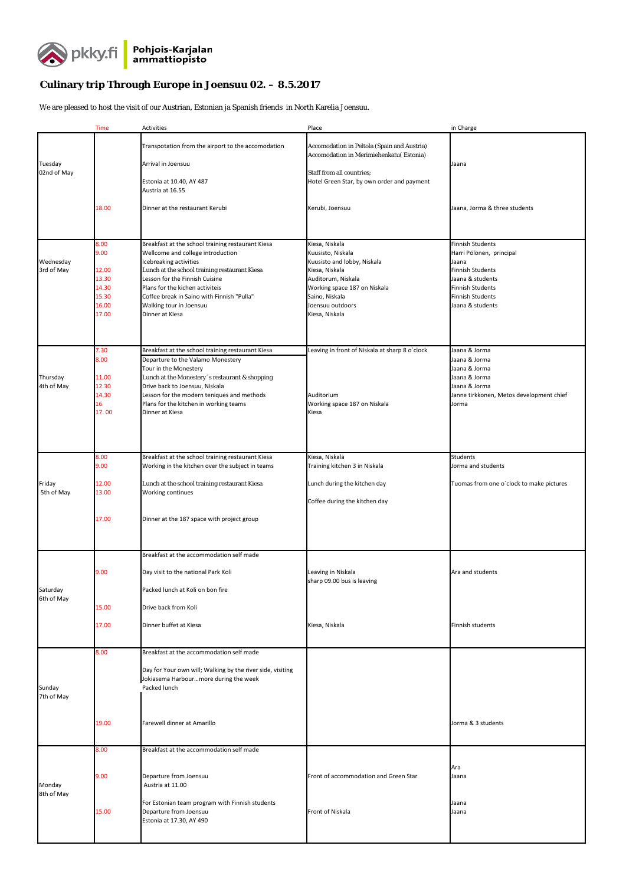

## **Culinary trip Through Europe in Joensuu 02. – 8.5.2017**

We are pleased to host the visit of our Austrian, Estonian ja Spanish friends in North Karelia Joensuu.

|                         | <b>Time</b>                                                        | Activities                                                                                                                                                                                                                                                                                                                         | Place                                                                                                                                                                                              | in Charge                                                                                                                                                                             |
|-------------------------|--------------------------------------------------------------------|------------------------------------------------------------------------------------------------------------------------------------------------------------------------------------------------------------------------------------------------------------------------------------------------------------------------------------|----------------------------------------------------------------------------------------------------------------------------------------------------------------------------------------------------|---------------------------------------------------------------------------------------------------------------------------------------------------------------------------------------|
| Tuesday<br>02nd of May  |                                                                    | Transpotation from the airport to the accomodation<br>Arrival in Joensuu<br>Estonia at 10.40, AY 487                                                                                                                                                                                                                               | Accomodation in Peltola (Spain and Austria)<br>Accomodation in Merimiehenkatu (Estonia)<br>Staff from all countries;<br>Hotel Green Star, by own order and payment                                 | Jaana                                                                                                                                                                                 |
|                         | 18.00                                                              | Austria at 16.55<br>Dinner at the restaurant Kerubi                                                                                                                                                                                                                                                                                | Kerubi, Joensuu                                                                                                                                                                                    | Jaana, Jorma & three students                                                                                                                                                         |
| Wednesday<br>3rd of May | 8.00<br>9.00<br>12.00<br>13.30<br>14.30<br>15.30<br>16.00<br>17.00 | Breakfast at the school training restaurant Kiesa<br>Wellcome and college introduction<br>Icebreaking activities<br>Lunch at the school training restaurant Kiesa<br>Lesson for the Finnish Cuisine<br>Plans for the kichen activiteis<br>Coffee break in Saino with Finnish "Pulla"<br>Walking tour in Joensuu<br>Dinner at Kiesa | Kiesa, Niskala<br>Kuusisto, Niskala<br>Kuusisto and lobby, Niskala<br>Kiesa, Niskala<br>Auditorum, Niskala<br>Working space 187 on Niskala<br>Saino, Niskala<br>Joensuu outdoors<br>Kiesa, Niskala | <b>Finnish Students</b><br>Harri Pölönen, principal<br>Jaana<br><b>Finnish Students</b><br>Jaana & students<br><b>Finnish Students</b><br><b>Finnish Students</b><br>Jaana & students |
| Thursday<br>4th of May  | 7.30<br>8.00<br>11.00<br>12.30<br>14.30<br>16<br>17.00             | Breakfast at the school training restaurant Kiesa<br>Departure to the Valamo Monestery<br>Tour in the Monestery<br>Lunch at the Monestery's restaurant & shopping<br>Drive back to Joensuu, Niskala<br>Lesson for the modern teniques and methods<br>Plans for the kitchen in working teams<br>Dinner at Kiesa                     | Leaving in front of Niskala at sharp 8 o'clock<br>Auditorium<br>Working space 187 on Niskala<br>Kiesa                                                                                              | Jaana & Jorma<br>Jaana & Jorma<br>Jaana & Jorma<br>Jaana & Jorma<br>Jaana & Jorma<br>Janne tirkkonen, Metos development chief<br>Jorma                                                |
| Friday<br>5th of May    | 8.00<br>9.00<br>12.00<br>13.00<br>17.00                            | Breakfast at the school training restaurant Kiesa<br>Working in the kitchen over the subject in teams<br>Lunch at the school training restaurant Kiesa<br>Working continues<br>Dinner at the 187 space with project group                                                                                                          | Kiesa, Niskala<br>Training kitchen 3 in Niskala<br>Lunch during the kitchen day<br>Coffee during the kitchen day                                                                                   | <b>Students</b><br>Jorma and students<br>Tuomas from one o'clock to make pictures                                                                                                     |
| Saturday<br>6th of May  | 9.00<br>15.00<br>17.00                                             | Breakfast at the accommodation self made<br>Day visit to the national Park Koli<br>Packed lunch at Koli on bon fire<br>Drive back from Koli<br>Dinner buffet at Kiesa                                                                                                                                                              | Leaving in Niskala<br>sharp 09.00 bus is leaving<br>Kiesa, Niskala                                                                                                                                 | Ara and students<br>Finnish students                                                                                                                                                  |
| Sunday<br>7th of May    | 8.00<br>19.00                                                      | Breakfast at the accommodation self made<br>Day for Your own will; Walking by the river side, visiting<br>Jokiasema Harbourmore during the week<br>Packed lunch<br>Farewell dinner at Amarillo                                                                                                                                     |                                                                                                                                                                                                    | Jorma & 3 students                                                                                                                                                                    |
|                         | 8.00<br>9.00                                                       | Breakfast at the accommodation self made<br>Departure from Joensuu                                                                                                                                                                                                                                                                 | Front of accommodation and Green Star                                                                                                                                                              | Ara<br>Jaana                                                                                                                                                                          |
| Monday<br>8th of May    | 15.00                                                              | Austria at 11.00<br>For Estonian team program with Finnish students<br>Departure from Joensuu<br>Estonia at 17.30, AY 490                                                                                                                                                                                                          | Front of Niskala                                                                                                                                                                                   | Jaana<br>Jaana                                                                                                                                                                        |